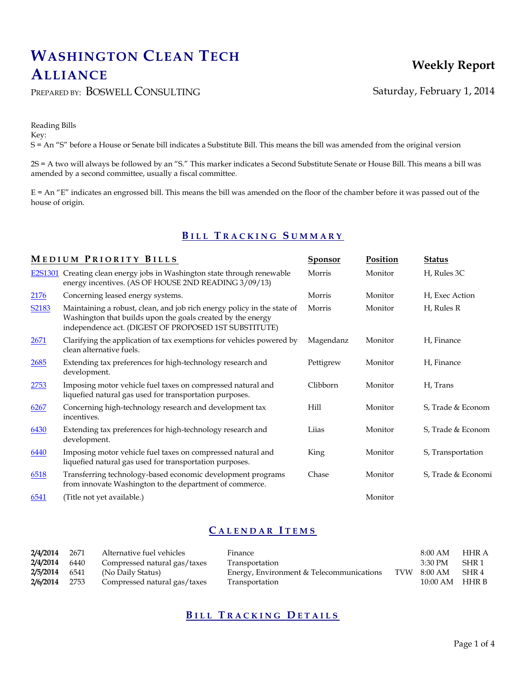# **WASHINGTON CLEAN TECH ALLIANCE**

## PREPARED BY: BOSWELL CONSULTING Saturday, February 1, 2014

Reading Bills Key: S = An "S" before a House or Senate bill indicates a Substitute Bill. This means the bill was amended from the original version

2S = A two will always be followed by an "S." This marker indicates a Second Substitute Senate or House Bill. This means a bill was amended by a second committee, usually a fiscal committee.

 $E = An "E"$  indicates an engrossed bill. This means the bill was amended on the floor of the chamber before it was passed out of the house of origin.

## **B I L L T R A C K I N G S U M M A R Y**

|             | MEDIUM PRIORITY BILLS                                                                                                                                                                           | Sponsor   | Position | <b>Status</b>      |  |
|-------------|-------------------------------------------------------------------------------------------------------------------------------------------------------------------------------------------------|-----------|----------|--------------------|--|
|             | E2S1301 Creating clean energy jobs in Washington state through renewable<br>energy incentives. (AS OF HOUSE 2ND READING 3/09/13)                                                                | Morris    | Monitor  | H, Rules 3C        |  |
| <u>2176</u> | Concerning leased energy systems.                                                                                                                                                               | Morris    | Monitor  | H, Exec Action     |  |
| S2183       | Maintaining a robust, clean, and job rich energy policy in the state of<br>Washington that builds upon the goals created by the energy<br>independence act. (DIGEST OF PROPOSED 1ST SUBSTITUTE) | Morris    | Monitor  | H, Rules R         |  |
| 2671        | Clarifying the application of tax exemptions for vehicles powered by<br>clean alternative fuels.                                                                                                | Magendanz | Monitor  | H, Finance         |  |
| 2685        | Extending tax preferences for high-technology research and<br>development.                                                                                                                      | Pettigrew | Monitor  | H, Finance         |  |
| 2753        | Imposing motor vehicle fuel taxes on compressed natural and<br>liquefied natural gas used for transportation purposes.                                                                          | Clibborn  | Monitor  | H, Trans           |  |
| 6267        | Concerning high-technology research and development tax<br>incentives.                                                                                                                          | Hill      | Monitor  | S, Trade & Econom  |  |
| 6430        | Extending tax preferences for high-technology research and<br>development.                                                                                                                      | Liias     | Monitor  | S, Trade & Econom  |  |
| 6440        | Imposing motor vehicle fuel taxes on compressed natural and<br>liquefied natural gas used for transportation purposes.                                                                          | King      | Monitor  | S, Transportation  |  |
| 6518        | Transferring technology-based economic development programs<br>from innovate Washington to the department of commerce.                                                                          | Chase     | Monitor  | S, Trade & Economi |  |
| 6541        | (Title not yet available.)                                                                                                                                                                      |           | Monitor  |                    |  |

## **C A L E N D A R I T E M S**

| 2/4/2014 | 2671 | Alternative fuel vehicles    | Finance                                  | 8:00 AM          | HHR A |
|----------|------|------------------------------|------------------------------------------|------------------|-------|
| 2/4/2014 | 6440 | Compressed natural gas/taxes | Transportation                           | 3:30 PM          | SHR 1 |
| 2/5/2014 | 6541 | (No Daily Status)            | Energy, Environment & Telecommunications | TVW 8:00 AM      | SHR 4 |
| 2/6/2014 | 2753 | Compressed natural gas/taxes | Transportation                           | $10:00$ AM HHR B |       |

## **B I L L T R A C K I N G D E T A I L S**

## **Weekly Report**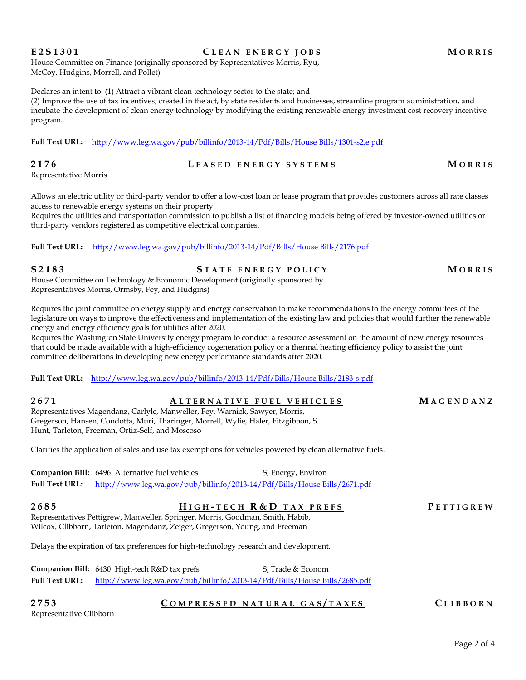Page 2 of 4

House Committee on Finance (originally sponsored by Representatives Morris, Ryu, McCoy, Hudgins, Morrell, and Pollet)

Declares an intent to: (1) Attract a vibrant clean technology sector to the state; and

(2) Improve the use of tax incentives, created in the act, by state residents and businesses, streamline program administration, and incubate the development of clean energy technology by modifying the existing renewable energy investment cost recovery incentive program.

**Full Text URL:** [http://www.leg.wa.gov/pub/billinfo/2013-14/Pdf/Bills/House Bills/1301-s2.e.pdf](http://www.leg.wa.gov/pub/billinfo/2013-14/Pdf/Bills/House%20Bills/1301-s2.e.pdf)

**2176 L E A S E D E N E R G Y S Y S T E M S M O R R I S** Representative Morris

Allows an electric utility or third-party vendor to offer a low-cost loan or lease program that provides customers across all rate classes access to renewable energy systems on their property.

Requires the utilities and transportation commission to publish a list of financing models being offered by investor-owned utilities or third-party vendors registered as competitive electrical companies.

**Full Text URL:** [http://www.leg.wa.gov/pub/billinfo/2013-14/Pdf/Bills/House Bills/2176.pdf](http://www.leg.wa.gov/pub/billinfo/2013-14/Pdf/Bills/House%20Bills/2176.pdf)

**S 2 1 8 3 S T A T E E N E R G Y P O L I C Y M O R R I S** House Committee on Technology & Economic Development (originally sponsored by Representatives Morris, Ormsby, Fey, and Hudgins)

Requires the joint committee on energy supply and energy conservation to make recommendations to the energy committees of the legislature on ways to improve the effectiveness and implementation of the existing law and policies that would further the renewable energy and energy efficiency goals for utilities after 2020.

Requires the Washington State University energy program to conduct a resource assessment on the amount of new energy resources that could be made available with a high-efficiency cogeneration policy or a thermal heating efficiency policy to assist the joint committee deliberations in developing new energy performance standards after 2020.

**Full Text URL:** [http://www.leg.wa.gov/pub/billinfo/2013-14/Pdf/Bills/House Bills/2183-s.pdf](http://www.leg.wa.gov/pub/billinfo/2013-14/Pdf/Bills/House%20Bills/2183-s.pdf)

**2671 A L T E R N A T I V E F U E L V E H I C L E S M A G E N D A N Z** Representatives Magendanz, Carlyle, Manweller, Fey, Warnick, Sawyer, Morris, Gregerson, Hansen, Condotta, Muri, Tharinger, Morrell, Wylie, Haler, Fitzgibbon, S. Hunt, Tarleton, Freeman, Ortiz-Self, and Moscoso

Clarifies the application of sales and use tax exemptions for vehicles powered by clean alternative fuels.

**Companion Bill:** 6496 Alternative fuel vehicles S, Energy, Environ **Full Text URL:** [http://www.leg.wa.gov/pub/billinfo/2013-14/Pdf/Bills/House Bills/2671.pdf](http://www.leg.wa.gov/pub/billinfo/2013-14/Pdf/Bills/House%20Bills/2671.pdf)

**2685 H I G H - T E C H R & D T A X P R E F S P E T T I G R E W** Representatives Pettigrew, Manweller, Springer, Morris, Goodman, Smith, Habib, Wilcox, Clibborn, Tarleton, Magendanz, Zeiger, Gregerson, Young, and Freeman

Delays the expiration of tax preferences for high-technology research and development.

**Companion Bill:** 6430 High-tech R&D tax prefs S, Trade & Econom **Full Text URL:** [http://www.leg.wa.gov/pub/billinfo/2013-14/Pdf/Bills/House Bills/2685.pdf](http://www.leg.wa.gov/pub/billinfo/2013-14/Pdf/Bills/House%20Bills/2685.pdf)

**2753 C O M P R E S S E D N A T U R A L G A S / T A X E S C L I B B O R N**

Representative Clibborn

**E 2 S 1 3 0 1 C L E A N E N E R G Y J O B S M O R R I S**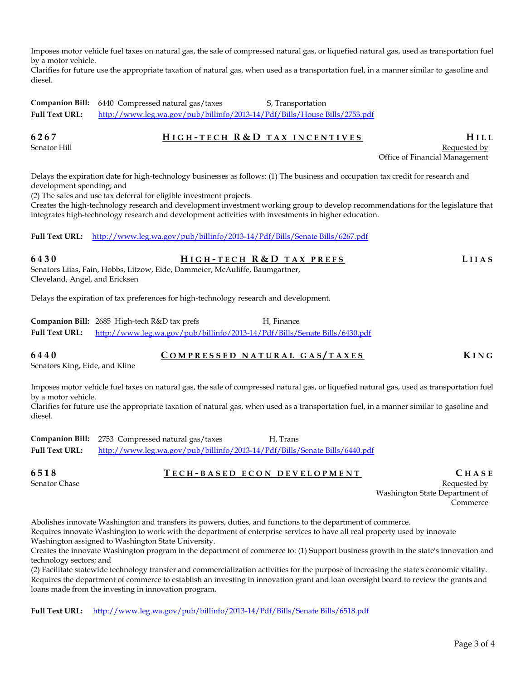Imposes motor vehicle fuel taxes on natural gas, the sale of compressed natural gas, or liquefied natural gas, used as transportation fuel by a motor vehicle.

Clarifies for future use the appropriate taxation of natural gas, when used as a transportation fuel, in a manner similar to gasoline and diesel.

**Companion Bill:** 6440 Compressed natural gas/taxes S, Transportation **Full Text URL:** [http://www.leg.wa.gov/pub/billinfo/2013-14/Pdf/Bills/House Bills/2753.pdf](http://www.leg.wa.gov/pub/billinfo/2013-14/Pdf/Bills/House%20Bills/2753.pdf)

## **6267 H I G H - T E C H R & D T A X I N C E N T I V E S H I L L**

# Senator Hill Requested by the senator of the senator of the senator  $\mathbb R$  Requested by  $\mathbb R$

Office of Financial Management

Delays the expiration date for high-technology businesses as follows: (1) The business and occupation tax credit for research and development spending; and

(2) The sales and use tax deferral for eligible investment projects.

Creates the high-technology research and development investment working group to develop recommendations for the legislature that integrates high-technology research and development activities with investments in higher education.

### **Full Text URL:** [http://www.leg.wa.gov/pub/billinfo/2013-14/Pdf/Bills/Senate Bills/6267.pdf](http://www.leg.wa.gov/pub/billinfo/2013-14/Pdf/Bills/Senate%20Bills/6267.pdf)

**6430 H I G H - T E C H R & D T A X P R E F S L I I A S** Senators Liias, Fain, Hobbs, Litzow, Eide, Dammeier, McAuliffe, Baumgartner,

Cleveland, Angel, and Ericksen

Delays the expiration of tax preferences for high-technology research and development.

|                       | <b>Companion Bill:</b> 2685 High-tech R&D tax prefs | H. Finance                                                                 |
|-----------------------|-----------------------------------------------------|----------------------------------------------------------------------------|
| <b>Full Text URL:</b> |                                                     | http://www.leg.wa.gov/pub/billinfo/2013-14/Pdf/Bills/Senate Bills/6430.pdf |

**6440 C O M P R E S S E D N A T U R A L G A S / T A X E S K I N G**

Senators King, Eide, and Kline

Imposes motor vehicle fuel taxes on natural gas, the sale of compressed natural gas, or liquefied natural gas, used as transportation fuel by a motor vehicle.

Clarifies for future use the appropriate taxation of natural gas, when used as a transportation fuel, in a manner similar to gasoline and diesel.

**Companion Bill:** 2753 Compressed natural gas/taxes H, Trans **Full Text URL:** [http://www.leg.wa.gov/pub/billinfo/2013-14/Pdf/Bills/Senate Bills/6440.pdf](http://www.leg.wa.gov/pub/billinfo/2013-14/Pdf/Bills/Senate%20Bills/6440.pdf)

**6518 T E C H - B A S E D E C O N D E V E L O P M E N T C H A S E**

Senator Chase Requested by Equation 2012 and the senator Chase Requested by Equation 2013 and the Requested by Requested by  $\mathbb{R}$ Washington State Department of Commerce

Abolishes innovate Washington and transfers its powers, duties, and functions to the department of commerce. Requires innovate Washington to work with the department of enterprise services to have all real property used by innovate

Washington assigned to Washington State University.

Creates the innovate Washington program in the department of commerce to: (1) Support business growth in the state's innovation and technology sectors; and

(2) Facilitate statewide technology transfer and commercialization activities for the purpose of increasing the state's economic vitality. Requires the department of commerce to establish an investing in innovation grant and loan oversight board to review the grants and loans made from the investing in innovation program.

**Full Text URL:** [http://www.leg.wa.gov/pub/billinfo/2013-14/Pdf/Bills/Senate Bills/6518.pdf](http://www.leg.wa.gov/pub/billinfo/2013-14/Pdf/Bills/Senate%20Bills/6518.pdf)